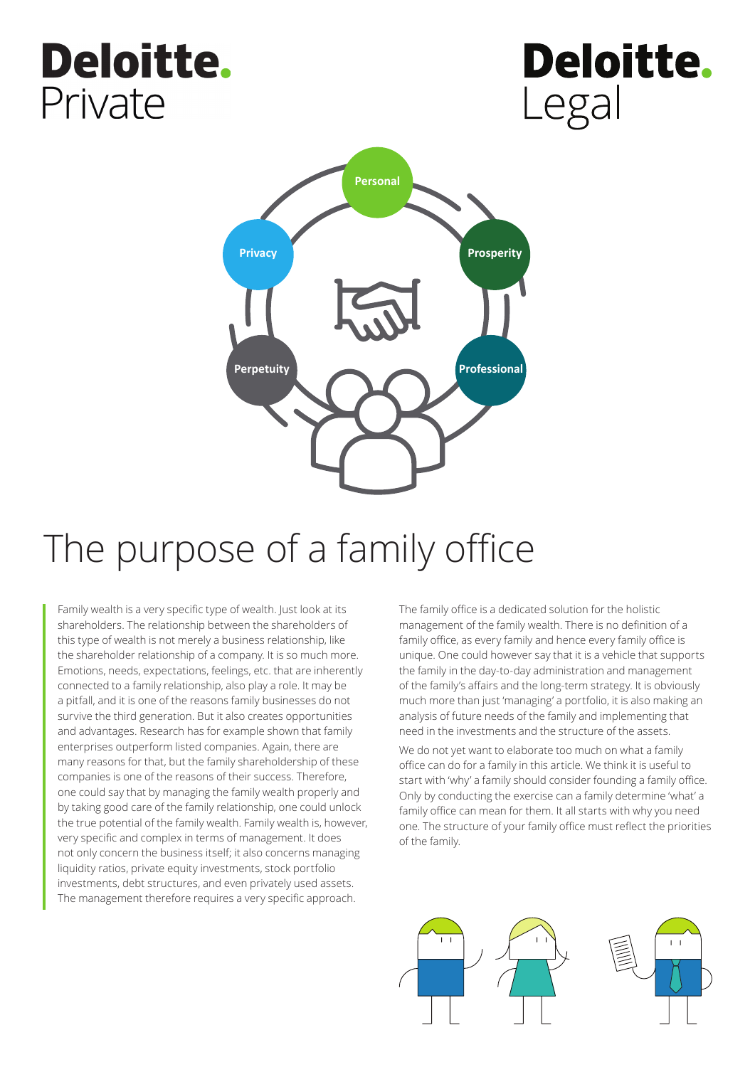## **Deloitte.** Private





## The purpose of a family office

Family wealth is a very specific type of wealth. Just look at its shareholders. The relationship between the shareholders of this type of wealth is not merely a business relationship, like the shareholder relationship of a company. It is so much more. Emotions, needs, expectations, feelings, etc. that are inherently connected to a family relationship, also play a role. It may be a pitfall, and it is one of the reasons family businesses do not survive the third generation. But it also creates opportunities and advantages. Research has for example shown that family enterprises outperform listed companies. Again, there are many reasons for that, but the family shareholdership of these companies is one of the reasons of their success. Therefore, one could say that by managing the family wealth properly and by taking good care of the family relationship, one could unlock the true potential of the family wealth. Family wealth is, however, very specific and complex in terms of management. It does not only concern the business itself; it also concerns managing liquidity ratios, private equity investments, stock portfolio investments, debt structures, and even privately used assets. The management therefore requires a very specific approach.

The family office is a dedicated solution for the holistic management of the family wealth. There is no definition of a family office, as every family and hence every family office is unique. One could however say that it is a vehicle that supports the family in the day-to-day administration and management of the family's affairs and the long-term strategy. It is obviously much more than just 'managing' a portfolio, it is also making an analysis of future needs of the family and implementing that need in the investments and the structure of the assets.

We do not yet want to elaborate too much on what a family office can do for a family in this article. We think it is useful to start with 'why' a family should consider founding a family office. Only by conducting the exercise can a family determine 'what' a family office can mean for them. It all starts with why you need one. The structure of your family office must reflect the priorities of the family.